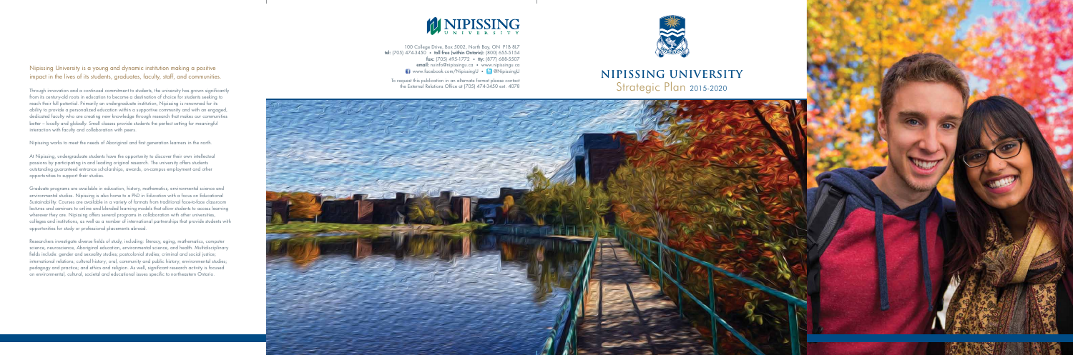## **NIPISSING UNIVERSITY** Strategic Plan 2015-2020



100 College Drive, Box 5002, North Bay, ON P1B 8L7 **tel:** (705) 474-3450 • **toll free (within Ontario):** (800) 655-5154 **fax:** (705) 495-1772 • tty: (877) 688-5507 **email:** nuinfo@nipissingu.ca • www.nipissingu.ca www.facebook.com/NipissingU • @NipissingU

To request this publication in an alternate format please contact the External Relations Office at (705) 474-3450 ext. 4078



#### Nipissing University is a young and dynamic institution making a positive impact in the lives of its students, graduates, faculty, staff, and communities.

Through innovation and a continued commitment to students, the university has grown significantly from its century-old roots in education to become a destination of choice for students seeking to reach their full potential. Primarily an undergraduate institution, Nipissing is renowned for its ability to provide a personalized education within a supportive community and with an engaged, dedicated faculty who are creating new knowledge through research that makes our communities better – locally and globally. Small classes provide students the perfect setting for meaningful interaction with faculty and collaboration with peers.

Nipissing works to meet the needs of Aboriginal and first generation learners in the north.

At Nipissing, undergraduate students have the opportunity to discover their own intellectual passions by participating in and leading original research. The university offers students outstanding guaranteed entrance scholarships, awards, on-campus employment and other opportunities to support their studies.

Graduate programs are available in education, history, mathematics, environmental science and environmental studies. Nipissing is also home to a PhD in Education with a focus on Educational Sustainability. Courses are available in a variety of formats from traditional face-to-face classroom lectures and seminars to online and blended learning models that allow students to access learning wherever they are. Nipissing offers several programs in collaboration with other universities, colleges and institutions, as well as a number of international partnerships that provide students with opportunities for study or professional placements abroad.

Researchers investigate diverse fields of study, including: literacy, aging, mathematics, computer science, neuroscience, Aboriginal education, environmental science, and health. Multidisciplinary fields include: gender and sexuality studies; postcolonial studies; criminal and social justice; international relations; cultural history; oral, community and public history; environmental studies; pedagogy and practice; and ethics and religion. As well, significant research activity is focused on environmental, cultural, societal and educational issues specific to northeastern Ontario.